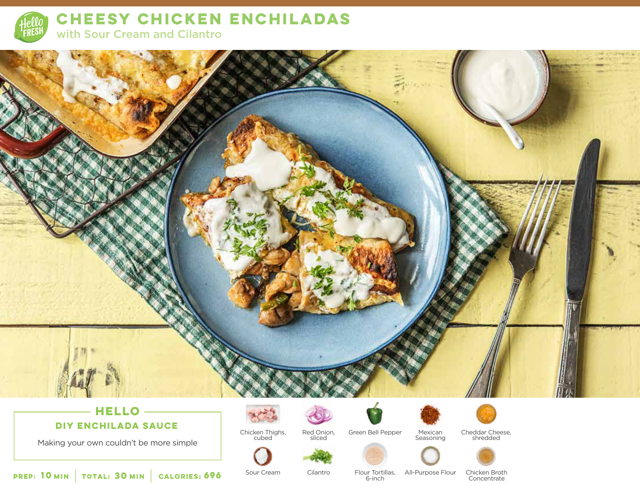

**CHEESY CHICKEN ENCHILADAS** 

with Sour Cream and Cilantro



## **DIY ENCHILADA SAUCE**

Making your own couldn't be more simple



Chicken Thighs, cubed Red Onion, sliced



Mexican Seasoning



Cheddar Cheese, shredded



**10 30 MIN MIN CALORIES:**

Sour Cream

Cilantro

Flour Tortillas,<br>6-inch

All-Purpose Flour Chicken Broth **Concentrate**